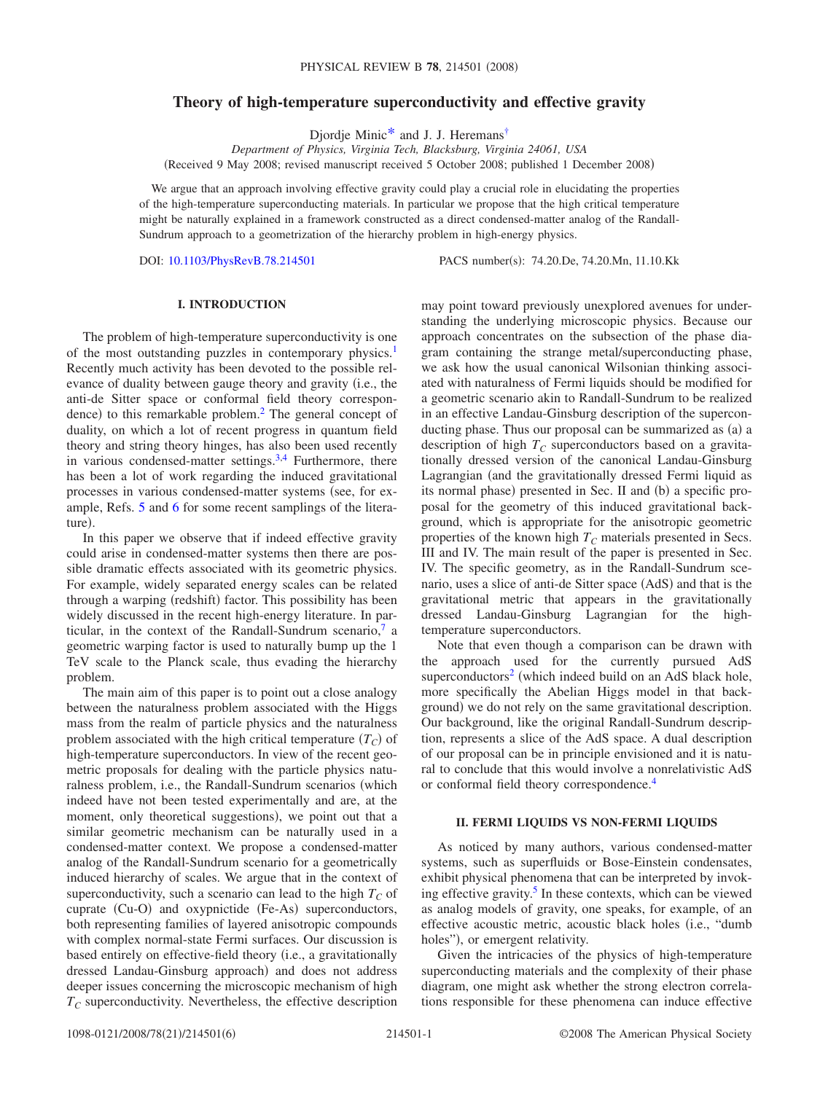# **Theory of high-temperature superconductivity and effective gravity**

Djordje Minic<sup>\*</sup> and J. J. Heremans<sup>†</sup>

*Department of Physics, Virginia Tech, Blacksburg, Virginia 24061, USA* Received 9 May 2008; revised manuscript received 5 October 2008; published 1 December 2008-

We argue that an approach involving effective gravity could play a crucial role in elucidating the properties of the high-temperature superconducting materials. In particular we propose that the high critical temperature might be naturally explained in a framework constructed as a direct condensed-matter analog of the Randall-Sundrum approach to a geometrization of the hierarchy problem in high-energy physics.

DOI: [10.1103/PhysRevB.78.214501](http://dx.doi.org/10.1103/PhysRevB.78.214501)

PACS number(s): 74.20.De, 74.20.Mn, 11.10.Kk

## **I. INTRODUCTION**

The problem of high-temperature superconductivity is one of the most outstanding puzzles in contemporary physics.<sup>1</sup> Recently much activity has been devoted to the possible relevance of duality between gauge theory and gravity i.e., the anti-de Sitter space or conformal field theory correspondence) to this remarkable problem.<sup>2</sup> The general concept of duality, on which a lot of recent progress in quantum field theory and string theory hinges, has also been used recently in various condensed-matter settings.<sup>3,[4](#page-4-5)</sup> Furthermore, there has been a lot of work regarding the induced gravitational processes in various condensed-matter systems (see, for example, Refs. [5](#page-4-6) and [6](#page-4-7) for some recent samplings of the literature).

In this paper we observe that if indeed effective gravity could arise in condensed-matter systems then there are possible dramatic effects associated with its geometric physics. For example, widely separated energy scales can be related through a warping (redshift) factor. This possibility has been widely discussed in the recent high-energy literature. In particular, in the context of the Randall-Sundrum scenario, $\frac{7}{9}$  a geometric warping factor is used to naturally bump up the 1 TeV scale to the Planck scale, thus evading the hierarchy problem.

The main aim of this paper is to point out a close analogy between the naturalness problem associated with the Higgs mass from the realm of particle physics and the naturalness problem associated with the high critical temperature  $(T_C)$  of high-temperature superconductors. In view of the recent geometric proposals for dealing with the particle physics naturalness problem, i.e., the Randall-Sundrum scenarios (which indeed have not been tested experimentally and are, at the moment, only theoretical suggestions), we point out that a similar geometric mechanism can be naturally used in a condensed-matter context. We propose a condensed-matter analog of the Randall-Sundrum scenario for a geometrically induced hierarchy of scales. We argue that in the context of superconductivity, such a scenario can lead to the high  $T_C$  of cuprate (Cu-O) and oxypnictide (Fe-As) superconductors, both representing families of layered anisotropic compounds with complex normal-state Fermi surfaces. Our discussion is based entirely on effective-field theory (i.e., a gravitationally dressed Landau-Ginsburg approach) and does not address deeper issues concerning the microscopic mechanism of high  $T_C$  superconductivity. Nevertheless, the effective description

may point toward previously unexplored avenues for understanding the underlying microscopic physics. Because our approach concentrates on the subsection of the phase diagram containing the strange metal/superconducting phase, we ask how the usual canonical Wilsonian thinking associated with naturalness of Fermi liquids should be modified for a geometric scenario akin to Randall-Sundrum to be realized in an effective Landau-Ginsburg description of the superconducting phase. Thus our proposal can be summarized as (a) a description of high  $T_c$  superconductors based on a gravitationally dressed version of the canonical Landau-Ginsburg Lagrangian (and the gravitationally dressed Fermi liquid as its normal phase) presented in Sec. II and (b) a specific proposal for the geometry of this induced gravitational background, which is appropriate for the anisotropic geometric properties of the known high  $T_c$  materials presented in Secs. III and IV. The main result of the paper is presented in Sec. IV. The specific geometry, as in the Randall-Sundrum scenario, uses a slice of anti-de Sitter space (AdS) and that is the gravitational metric that appears in the gravitationally dressed Landau-Ginsburg Lagrangian for the hightemperature superconductors.

Note that even though a comparison can be drawn with the approach used for the currently pursued AdS superconductors<sup>2</sup> (which indeed build on an AdS black hole, more specifically the Abelian Higgs model in that background) we do not rely on the same gravitational description. Our background, like the original Randall-Sundrum description, represents a slice of the AdS space. A dual description of our proposal can be in principle envisioned and it is natural to conclude that this would involve a nonrelativistic AdS or conformal field theory correspondence[.4](#page-4-5)

#### **II. FERMI LIQUIDS VS NON-FERMI LIQUIDS**

As noticed by many authors, various condensed-matter systems, such as superfluids or Bose-Einstein condensates, exhibit physical phenomena that can be interpreted by invoking effective gravity.<sup>5</sup> In these contexts, which can be viewed as analog models of gravity, one speaks, for example, of an effective acoustic metric, acoustic black holes (i.e., "dumb holes"), or emergent relativity.

Given the intricacies of the physics of high-temperature superconducting materials and the complexity of their phase diagram, one might ask whether the strong electron correlations responsible for these phenomena can induce effective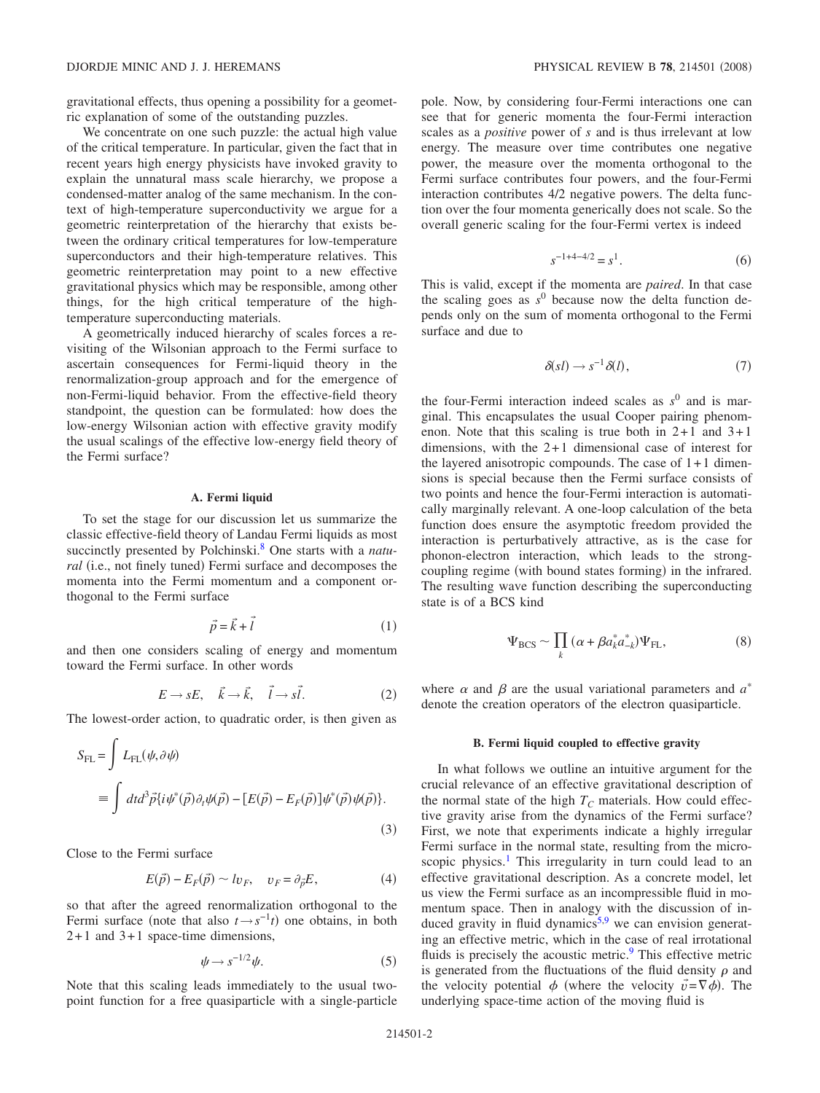gravitational effects, thus opening a possibility for a geometric explanation of some of the outstanding puzzles.

We concentrate on one such puzzle: the actual high value of the critical temperature. In particular, given the fact that in recent years high energy physicists have invoked gravity to explain the unnatural mass scale hierarchy, we propose a condensed-matter analog of the same mechanism. In the context of high-temperature superconductivity we argue for a geometric reinterpretation of the hierarchy that exists between the ordinary critical temperatures for low-temperature superconductors and their high-temperature relatives. This geometric reinterpretation may point to a new effective gravitational physics which may be responsible, among other things, for the high critical temperature of the hightemperature superconducting materials.

A geometrically induced hierarchy of scales forces a revisiting of the Wilsonian approach to the Fermi surface to ascertain consequences for Fermi-liquid theory in the renormalization-group approach and for the emergence of non-Fermi-liquid behavior. From the effective-field theory standpoint, the question can be formulated: how does the low-energy Wilsonian action with effective gravity modify the usual scalings of the effective low-energy field theory of the Fermi surface?

## **A. Fermi liquid**

To set the stage for our discussion let us summarize the classic effective-field theory of Landau Fermi liquids as most succinctly presented by Polchinski[.8](#page-4-9) One starts with a *natu*ral (i.e., not finely tuned) Fermi surface and decomposes the momenta into the Fermi momentum and a component orthogonal to the Fermi surface

$$
\vec{p} = \vec{k} + \vec{l} \tag{1}
$$

and then one considers scaling of energy and momentum toward the Fermi surface. In other words

$$
E \to sE, \quad \vec{k} \to \vec{k}, \quad \vec{l} \to s\vec{l}.\tag{2}
$$

The lowest-order action, to quadratic order, is then given as

$$
S_{\text{FL}} = \int L_{\text{FL}}(\psi, \partial \psi)
$$
  
= 
$$
\int dt d^3 \vec{p} \{ i \psi^* (\vec{p}) \partial_t \psi (\vec{p}) - [E(\vec{p}) - E_F(\vec{p})] \psi^* (\vec{p}) \psi (\vec{p}) \}.
$$
  
(3)

Close to the Fermi surface

$$
E(\vec{p}) - E_F(\vec{p}) \sim l v_F, \quad v_F = \partial_{\vec{p}} E,\tag{4}
$$

so that after the agreed renormalization orthogonal to the Fermi surface (note that also  $t \rightarrow s^{-1}t$ ) one obtains, in both 2+1 and 3+1 space-time dimensions,

$$
\psi \to s^{-1/2} \psi. \tag{5}
$$

<span id="page-1-0"></span>Note that this scaling leads immediately to the usual twopoint function for a free quasiparticle with a single-particle pole. Now, by considering four-Fermi interactions one can see that for generic momenta the four-Fermi interaction scales as a *positive* power of *s* and is thus irrelevant at low energy. The measure over time contributes one negative power, the measure over the momenta orthogonal to the Fermi surface contributes four powers, and the four-Fermi interaction contributes 4/2 negative powers. The delta function over the four momenta generically does not scale. So the overall generic scaling for the four-Fermi vertex is indeed

$$
s^{-1+4-4/2} = s^1.
$$
 (6)

This is valid, except if the momenta are *paired*. In that case the scaling goes as  $s^0$  because now the delta function depends only on the sum of momenta orthogonal to the Fermi surface and due to

$$
\delta(s l) \to s^{-1} \delta(l), \tag{7}
$$

the four-Fermi interaction indeed scales as  $s^0$  and is marginal. This encapsulates the usual Cooper pairing phenomenon. Note that this scaling is true both in  $2+1$  and  $3+1$ dimensions, with the 2+1 dimensional case of interest for the layered anisotropic compounds. The case of 1+1 dimensions is special because then the Fermi surface consists of two points and hence the four-Fermi interaction is automatically marginally relevant. A one-loop calculation of the beta function does ensure the asymptotic freedom provided the interaction is perturbatively attractive, as is the case for phonon-electron interaction, which leads to the strongcoupling regime (with bound states forming) in the infrared. The resulting wave function describing the superconducting state is of a BCS kind

$$
\Psi_{\rm BCS} \sim \prod_k (\alpha + \beta a_k^* a_{-k}^*) \Psi_{\rm FL},\tag{8}
$$

where  $\alpha$  and  $\beta$  are the usual variational parameters and  $a^*$ denote the creation operators of the electron quasiparticle.

#### **B. Fermi liquid coupled to effective gravity**

In what follows we outline an intuitive argument for the crucial relevance of an effective gravitational description of the normal state of the high  $T_c$  materials. How could effective gravity arise from the dynamics of the Fermi surface? First, we note that experiments indicate a highly irregular Fermi surface in the normal state, resulting from the microscopic physics.<sup>1</sup> This irregularity in turn could lead to an effective gravitational description. As a concrete model, let us view the Fermi surface as an incompressible fluid in momentum space. Then in analogy with the discussion of in-duced gravity in fluid dynamics<sup>5,[9](#page-4-10)</sup> we can envision generating an effective metric, which in the case of real irrotational fluids is precisely the acoustic metric.<sup>9</sup> This effective metric is generated from the fluctuations of the fluid density  $\rho$  and the velocity potential  $\phi$  (where the velocity  $\vec{v} = \nabla \phi$ ). The underlying space-time action of the moving fluid is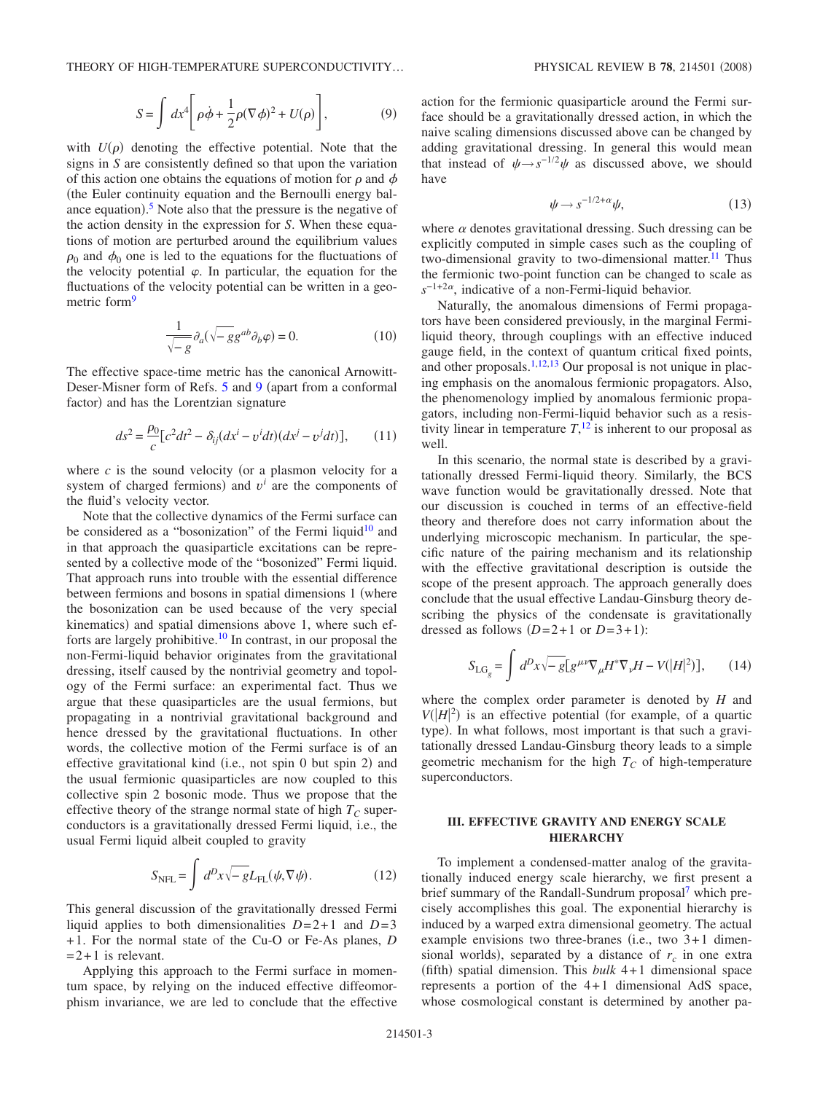$$
S = \int dx^4 \left[ \rho \dot{\phi} + \frac{1}{2} \rho (\nabla \phi)^2 + U(\rho) \right],
$$
 (9)

with  $U(\rho)$  denoting the effective potential. Note that the signs in *S* are consistently defined so that upon the variation of this action one obtains the equations of motion for  $\rho$  and  $\phi$ the Euler continuity equation and the Bernoulli energy bal-ance equation).<sup>[5](#page-4-6)</sup> Note also that the pressure is the negative of the action density in the expression for *S*. When these equations of motion are perturbed around the equilibrium values  $\rho_0$  and  $\phi_0$  one is led to the equations for the fluctuations of the velocity potential  $\varphi$ . In particular, the equation for the fluctuations of the velocity potential can be written in a geometric form<sup>9</sup>

$$
\frac{1}{\sqrt{-g}} \partial_a (\sqrt{-g} g^{ab} \partial_b \varphi) = 0.
$$
 (10)

The effective space-time metric has the canonical Arnowitt-Deser-Misner form of Refs. [5](#page-4-6) and [9](#page-4-10) (apart from a conformal factor) and has the Lorentzian signature

$$
ds^2 = \frac{\rho_0}{c} \left[ c^2 dt^2 - \delta_{ij} (dx^i - v^i dt) (dx^j - v^j dt) \right],\qquad(11)
$$

where  $c$  is the sound velocity (or a plasmon velocity for a system of charged fermions) and  $v^i$  are the components of the fluid's velocity vector.

Note that the collective dynamics of the Fermi surface can be considered as a "bosonization" of the Fermi liquid $10$  and in that approach the quasiparticle excitations can be represented by a collective mode of the "bosonized" Fermi liquid. That approach runs into trouble with the essential difference between fermions and bosons in spatial dimensions 1 (where the bosonization can be used because of the very special kinematics) and spatial dimensions above 1, where such efforts are largely prohibitive.<sup>10</sup> In contrast, in our proposal the non-Fermi-liquid behavior originates from the gravitational dressing, itself caused by the nontrivial geometry and topology of the Fermi surface: an experimental fact. Thus we argue that these quasiparticles are the usual fermions, but propagating in a nontrivial gravitational background and hence dressed by the gravitational fluctuations. In other words, the collective motion of the Fermi surface is of an effective gravitational kind (i.e., not spin 0 but spin 2) and the usual fermionic quasiparticles are now coupled to this collective spin 2 bosonic mode. Thus we propose that the effective theory of the strange normal state of high  $T_C$  superconductors is a gravitationally dressed Fermi liquid, i.e., the usual Fermi liquid albeit coupled to gravity

$$
S_{\text{NFL}} = \int d^D x \sqrt{-g} L_{\text{FL}}(\psi, \nabla \psi). \tag{12}
$$

This general discussion of the gravitationally dressed Fermi liquid applies to both dimensionalities  $D=2+1$  and  $D=3$ +1. For the normal state of the Cu-O or Fe-As planes, *D*  $=2+1$  is relevant.

Applying this approach to the Fermi surface in momentum space, by relying on the induced effective diffeomorphism invariance, we are led to conclude that the effective action for the fermionic quasiparticle around the Fermi surface should be a gravitationally dressed action, in which the naive scaling dimensions discussed above can be changed by adding gravitational dressing. In general this would mean that instead of  $\psi \rightarrow s^{-1/2}\psi$  as discussed above, we should have

$$
\psi \to s^{-1/2 + \alpha} \psi,\tag{13}
$$

where  $\alpha$  denotes gravitational dressing. Such dressing can be explicitly computed in simple cases such as the coupling of two-dimensional gravity to two-dimensional matter.<sup>11</sup> Thus the fermionic two-point function can be changed to scale as  $s^{-1+2\alpha}$ , indicative of a non-Fermi-liquid behavior.

Naturally, the anomalous dimensions of Fermi propagators have been considered previously, in the marginal Fermiliquid theory, through couplings with an effective induced gauge field, in the context of quantum critical fixed points, and other proposals.<sup>1,[12](#page-4-13)[,13](#page-4-14)</sup> Our proposal is not unique in placing emphasis on the anomalous fermionic propagators. Also, the phenomenology implied by anomalous fermionic propagators, including non-Fermi-liquid behavior such as a resistivity linear in temperature  $T$ ,  $\frac{12}{12}$  $\frac{12}{12}$  $\frac{12}{12}$  is inherent to our proposal as well.

In this scenario, the normal state is described by a gravitationally dressed Fermi-liquid theory. Similarly, the BCS wave function would be gravitationally dressed. Note that our discussion is couched in terms of an effective-field theory and therefore does not carry information about the underlying microscopic mechanism. In particular, the specific nature of the pairing mechanism and its relationship with the effective gravitational description is outside the scope of the present approach. The approach generally does conclude that the usual effective Landau-Ginsburg theory describing the physics of the condensate is gravitationally dressed as follows  $(D=2+1 \text{ or } D=3+1)$ :

$$
S_{\text{LG}_g} = \int d^D x \sqrt{-g} \left[ g^{\mu\nu} \nabla_\mu H^* \nabla_\nu H - V(|H|^2) \right],\qquad(14)
$$

where the complex order parameter is denoted by *H* and  $V(|H|^2)$  is an effective potential (for example, of a quartic type). In what follows, most important is that such a gravitationally dressed Landau-Ginsburg theory leads to a simple geometric mechanism for the high  $T_c$  of high-temperature superconductors.

### **III. EFFECTIVE GRAVITY AND ENERGY SCALE HIERARCHY**

To implement a condensed-matter analog of the gravitationally induced energy scale hierarchy, we first present a brief summary of the Randall-Sundrum proposal<sup>7</sup> which precisely accomplishes this goal. The exponential hierarchy is induced by a warped extra dimensional geometry. The actual example envisions two three-branes (i.e., two  $3+1$  dimensional worlds), separated by a distance of  $r_c$  in one extra (fifth) spatial dimension. This  $bulk$  4+1 dimensional space represents a portion of the 4+1 dimensional AdS space, whose cosmological constant is determined by another pa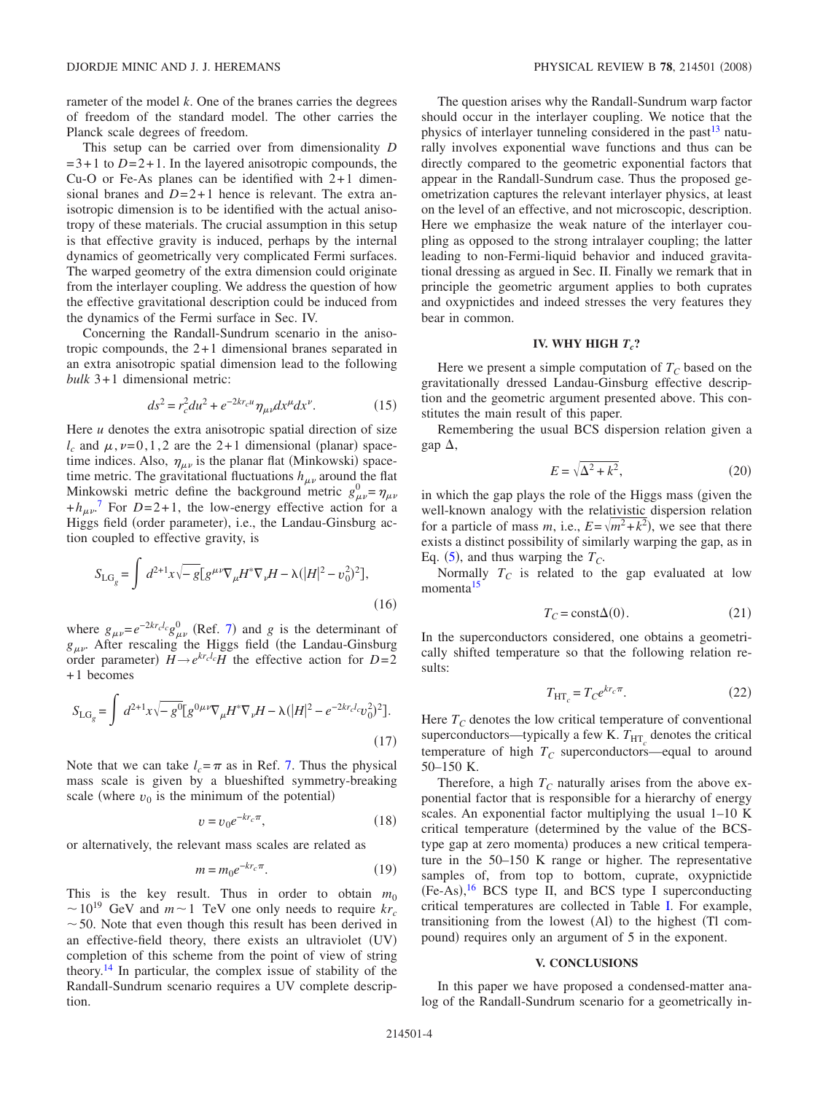rameter of the model *k*. One of the branes carries the degrees of freedom of the standard model. The other carries the Planck scale degrees of freedom.

This setup can be carried over from dimensionality *D*  $=3+1$  to  $D=2+1$ . In the layered anisotropic compounds, the Cu-O or Fe-As planes can be identified with 2+1 dimensional branes and *D*=2+1 hence is relevant. The extra anisotropic dimension is to be identified with the actual anisotropy of these materials. The crucial assumption in this setup is that effective gravity is induced, perhaps by the internal dynamics of geometrically very complicated Fermi surfaces. The warped geometry of the extra dimension could originate from the interlayer coupling. We address the question of how the effective gravitational description could be induced from the dynamics of the Fermi surface in Sec. IV.

Concerning the Randall-Sundrum scenario in the anisotropic compounds, the 2+1 dimensional branes separated in an extra anisotropic spatial dimension lead to the following *bulk* 3+1 dimensional metric:

$$
ds^{2} = r_{c}^{2} du^{2} + e^{-2kr_{c}u} \eta_{\mu\nu} dx^{\mu} dx^{\nu}.
$$
 (15)

Here *u* denotes the extra anisotropic spatial direction of size  $l_c$  and  $\mu$ ,  $\nu$ =0,1,2 are the 2+1 dimensional (planar) spacetime indices. Also,  $\eta_{\mu\nu}$  is the planar flat (Minkowski) spacetime metric. The gravitational fluctuations  $h_{\mu\nu}$  around the flat Minkowski metric define the background metric  $g_{\mu\nu}^0 = \eta_{\mu\nu}$  $+h_{\mu\nu}$ <sup>[7](#page-4-8)</sup> For *D*=2+1, the low-energy effective action for a Higgs field (order parameter), i.e., the Landau-Ginsburg action coupled to effective gravity, is

$$
S_{\text{LG}_g} = \int d^{2+1}x \sqrt{-g} \left[ g^{\mu\nu} \nabla_{\mu} H^* \nabla_{\nu} H - \lambda (|H|^2 - v_0^2)^2 \right],\tag{16}
$$

where  $g_{\mu\nu} = e^{-2kr_c/c} g_{\mu\nu}^0$  (Ref. [7](#page-4-8)) and *g* is the determinant of  $g_{\mu\nu}$ . After rescaling the Higgs field (the Landau-Ginsburg order parameter)  $H \rightarrow e^{kr_c l_c}H$  the effective action for  $D=2$ +1 becomes

$$
S_{\text{LG}_g} = \int d^{2+1}x \sqrt{-g^0} [g^{0\mu\nu}\nabla_{\mu}H^* \nabla_{\nu}H - \lambda (|H|^2 - e^{-2kr_c l_c}v_0^2)^2].
$$
\n(17)

Note that we can take  $l_c = \pi$  as in Ref. [7.](#page-4-8) Thus the physical mass scale is given by a blueshifted symmetry-breaking scale (where  $v_0$  is the minimum of the potential)

$$
v = v_0 e^{-kr_c \pi}, \tag{18}
$$

or alternatively, the relevant mass scales are related as

$$
m = m_0 e^{-kr_c \pi}.\tag{19}
$$

This is the key result. Thus in order to obtain  $m_0$  $\sim$  10<sup>19</sup> GeV and  $m \sim$  1 TeV one only needs to require  $kr_c$  $\sim$  50. Note that even though this result has been derived in an effective-field theory, there exists an ultraviolet (UV) completion of this scheme from the point of view of string theory.<sup>14</sup> In particular, the complex issue of stability of the Randall-Sundrum scenario requires a UV complete description.

The question arises why the Randall-Sundrum warp factor should occur in the interlayer coupling. We notice that the physics of interlayer tunneling considered in the past $13$  naturally involves exponential wave functions and thus can be directly compared to the geometric exponential factors that appear in the Randall-Sundrum case. Thus the proposed geometrization captures the relevant interlayer physics, at least on the level of an effective, and not microscopic, description. Here we emphasize the weak nature of the interlayer coupling as opposed to the strong intralayer coupling; the latter leading to non-Fermi-liquid behavior and induced gravitational dressing as argued in Sec. II. Finally we remark that in principle the geometric argument applies to both cuprates and oxypnictides and indeed stresses the very features they bear in common.

#### **IV. WHY HIGH**  $T_c$ ?

Here we present a simple computation of  $T_c$  based on the gravitationally dressed Landau-Ginsburg effective description and the geometric argument presented above. This constitutes the main result of this paper.

Remembering the usual BCS dispersion relation given a gap  $\Delta$ ,

$$
E = \sqrt{\Delta^2 + k^2},\tag{20}
$$

in which the gap plays the role of the Higgs mass given the well-known analogy with the relativistic dispersion relation for a particle of mass  $m$ , i.e.,  $E = \sqrt{m^2 + k^2}$ , we see that there exists a distinct possibility of similarly warping the gap, as in Eq.  $(5)$  $(5)$  $(5)$ , and thus warping the  $T_C$ .

Normally  $T_c$  is related to the gap evaluated at low momenta<sup>15</sup>

$$
T_C = \text{const}\Delta(0). \tag{21}
$$

In the superconductors considered, one obtains a geometrically shifted temperature so that the following relation results:

$$
T_{\rm HT_c} = T_C e^{kr_c \pi}.
$$
\n(22)

Here  $T_C$  denotes the low critical temperature of conventional superconductors—typically a few K.  $T_{\text{HT}_c}$  denotes the critical temperature of high  $T_C$  superconductors—equal to around 50–150 K.

Therefore, a high  $T_c$  naturally arises from the above exponential factor that is responsible for a hierarchy of energy scales. An exponential factor multiplying the usual 1–10 K critical temperature determined by the value of the BCStype gap at zero momenta) produces a new critical temperature in the 50–150 K range or higher. The representative samples of, from top to bottom, cuprate, oxypnictide  $(Fe-As),<sup>16</sup> BCS$  $(Fe-As),<sup>16</sup> BCS$  $(Fe-As),<sup>16</sup> BCS$  type II, and BCS type I superconducting critical temperatures are collected in Table [I.](#page-4-16) For example, transitioning from the lowest (Al) to the highest (Tl compound) requires only an argument of 5 in the exponent.

#### **V. CONCLUSIONS**

In this paper we have proposed a condensed-matter analog of the Randall-Sundrum scenario for a geometrically in-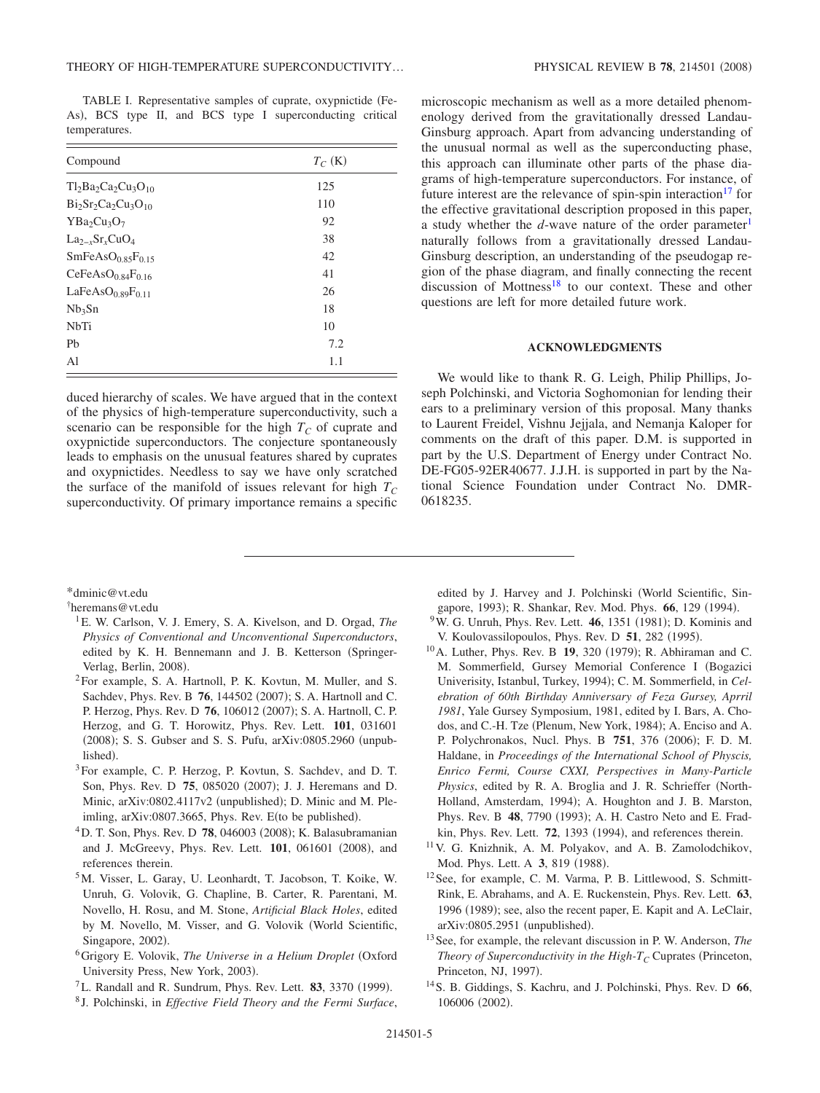<span id="page-4-16"></span>TABLE I. Representative samples of cuprate, oxypnictide Fe-As), BCS type II, and BCS type I superconducting critical temperatures.

| Compound                                  | $T_C$ (K) |
|-------------------------------------------|-----------|
| $Tl_2Ba_2Ca_2Cu_3O_{10}$                  | 125       |
| $Bi2Sr2Ca2$                               | 110       |
| $YBa_2Cu_3O_7$                            | 92        |
| $La_{2-x}Sr_xCuO_4$                       | 38        |
| $SmFeAsO0.85F0.15$                        | 42        |
| CeFeAsO $_{0.84}F_{0.16}$                 | 41        |
| LaFeAsO <sub>0.89</sub> F <sub>0.11</sub> | 26        |
| Nb <sub>3</sub> Sn                        | 18        |
| <b>NbTi</b>                               | 10        |
| Pb                                        | 7.2       |
| Al                                        | 1.1       |

duced hierarchy of scales. We have argued that in the context of the physics of high-temperature superconductivity, such a scenario can be responsible for the high  $T_c$  of cuprate and oxypnictide superconductors. The conjecture spontaneously leads to emphasis on the unusual features shared by cuprates and oxypnictides. Needless to say we have only scratched the surface of the manifold of issues relevant for high  $T_C$ superconductivity. Of primary importance remains a specific microscopic mechanism as well as a more detailed phenomenology derived from the gravitationally dressed Landau-Ginsburg approach. Apart from advancing understanding of the unusual normal as well as the superconducting phase, this approach can illuminate other parts of the phase diagrams of high-temperature superconductors. For instance, of future interest are the relevance of spin-spin interaction<sup>17</sup> for the effective gravitational description proposed in this paper, a study whether the  $d$ -wave nature of the order parameter<sup>1</sup> naturally follows from a gravitationally dressed Landau-Ginsburg description, an understanding of the pseudogap region of the phase diagram, and finally connecting the recent discussion of Mottness<sup>18</sup> to our context. These and other

### **ACKNOWLEDGMENTS**

questions are left for more detailed future work.

We would like to thank R. G. Leigh, Philip Phillips, Joseph Polchinski, and Victoria Soghomonian for lending their ears to a preliminary version of this proposal. Many thanks to Laurent Freidel, Vishnu Jejjala, and Nemanja Kaloper for comments on the draft of this paper. D.M. is supported in part by the U.S. Department of Energy under Contract No. DE-FG05-92ER40677. J.J.H. is supported in part by the National Science Foundation under Contract No. DMR-0618235.

\*dminic@vt.edu

<span id="page-4-0"></span>† heremans@vt.edu

- <span id="page-4-2"></span><span id="page-4-1"></span>1E. W. Carlson, V. J. Emery, S. A. Kivelson, and D. Orgad, *The Physics of Conventional and Unconventional Superconductors*, edited by K. H. Bennemann and J. B. Ketterson (Springer-Verlag, Berlin, 2008).
- <span id="page-4-3"></span>2For example, S. A. Hartnoll, P. K. Kovtun, M. Muller, and S. Sachdev, Phys. Rev. B 76, 144502 (2007); S. A. Hartnoll and C. P. Herzog, Phys. Rev. D 76, 106012 (2007); S. A. Hartnoll, C. P. Herzog, and G. T. Horowitz, Phys. Rev. Lett. **101**, 031601 (2008); S. S. Gubser and S. S. Pufu, arXiv:0805.2960 (unpublished).
- <span id="page-4-4"></span>3For example, C. P. Herzog, P. Kovtun, S. Sachdev, and D. T. Son, Phys. Rev. D 75, 085020 (2007); J. J. Heremans and D. Minic, arXiv:0802.4117v2 (unpublished); D. Minic and M. Pleimling, arXiv:0807.3665, Phys. Rev. E(to be published).
- <span id="page-4-5"></span><sup>4</sup>D. T. Son, Phys. Rev. D **78**, 046003 (2008); K. Balasubramanian and J. McGreevy, Phys. Rev. Lett. **101**, 061601 (2008), and references therein.
- <span id="page-4-6"></span>5M. Visser, L. Garay, U. Leonhardt, T. Jacobson, T. Koike, W. Unruh, G. Volovik, G. Chapline, B. Carter, R. Parentani, M. Novello, H. Rosu, and M. Stone, *Artificial Black Holes*, edited by M. Novello, M. Visser, and G. Volovik World Scientific, Singapore, 2002).
- 6Grigory E. Volovik, *The Universe in a Helium Droplet* Oxford University Press, New York, 2003).
- <span id="page-4-7"></span> ${}^{7}$ L. Randall and R. Sundrum, Phys. Rev. Lett. **83**, 3370 (1999).
- <span id="page-4-9"></span><span id="page-4-8"></span><sup>8</sup> J. Polchinski, in *Effective Field Theory and the Fermi Surface*,

edited by J. Harvey and J. Polchinski World Scientific, Singapore, 1993); R. Shankar, Rev. Mod. Phys. **66**, 129 (1994).

- <span id="page-4-13"></span><sup>9</sup>W. G. Unruh, Phys. Rev. Lett. 46, 1351 (1981); D. Kominis and V. Koulovassilopoulos, Phys. Rev. D 51, 282 (1995).
- <span id="page-4-11"></span><span id="page-4-10"></span> $10$  A. Luther, Phys. Rev. B 19, 320 (1979); R. Abhiraman and C. M. Sommerfield, Gursey Memorial Conference I (Bogazici Univerisity, Istanbul, Turkey, 1994); C. M. Sommerfield, in *Celebration of 60th Birthday Anniversary of Feza Gursey, Aprril 1981*, Yale Gursey Symposium, 1981, edited by I. Bars, A. Chodos, and C.-H. Tze (Plenum, New York, 1984); A. Enciso and A. P. Polychronakos, Nucl. Phys. B 751, 376 (2006); F. D. M. Haldane, in *Proceedings of the International School of Physcis, Enrico Fermi, Course CXXI, Perspectives in Many-Particle Physics*, edited by R. A. Broglia and J. R. Schrieffer (North-Holland, Amsterdam, 1994); A. Houghton and J. B. Marston, Phys. Rev. B 48, 7790 (1993); A. H. Castro Neto and E. Fradkin, Phys. Rev. Lett. 72, 1393 (1994), and references therein.
- 11V. G. Knizhnik, A. M. Polyakov, and A. B. Zamolodchikov, Mod. Phys. Lett. A 3, 819 (1988).
- <span id="page-4-12"></span>12See, for example, C. M. Varma, P. B. Littlewood, S. Schmitt-Rink, E. Abrahams, and A. E. Ruckenstein, Phys. Rev. Lett. **63**, 1996 (1989); see, also the recent paper, E. Kapit and A. LeClair, arXiv:0805.2951 (unpublished).
- <span id="page-4-14"></span>13See, for example, the relevant discussion in P. W. Anderson, *The Theory of Superconductivity in the High-T<sub>C</sub>* Cuprates (Princeton, Princeton, NJ, 1997).
- <span id="page-4-15"></span>14S. B. Giddings, S. Kachru, and J. Polchinski, Phys. Rev. D **66**, 106006 (2002).